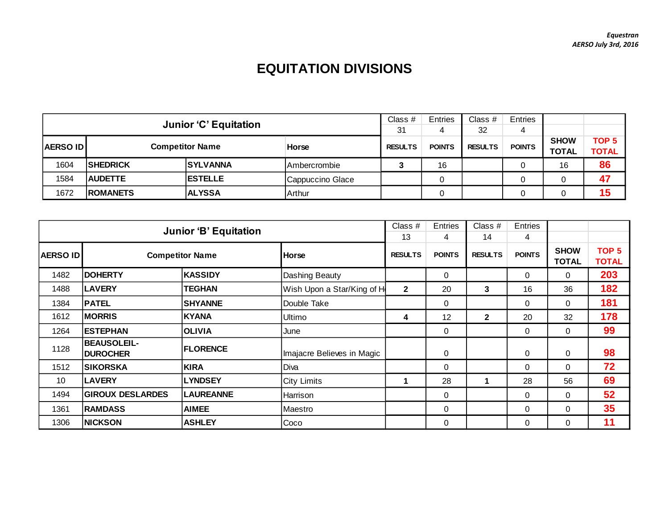## **EQUITATION DIVISIONS**

|                                           |                              |                 |                     | Class #        | <b>Entries</b> | Class #        | <b>Entries</b> |                             |                                  |
|-------------------------------------------|------------------------------|-----------------|---------------------|----------------|----------------|----------------|----------------|-----------------------------|----------------------------------|
|                                           | <b>Junior 'C' Equitation</b> |                 |                     | 31             |                | 32             | 4              |                             |                                  |
| <b>Competitor Name</b><br><b>AERSO ID</b> |                              |                 | Horse               | <b>RESULTS</b> | <b>POINTS</b>  | <b>RESULTS</b> | <b>POINTS</b>  | <b>SHOW</b><br><b>TOTAL</b> | TOP <sub>5</sub><br><b>TOTAL</b> |
| 1604                                      | <b>SHEDRICK</b>              | <b>SYLVANNA</b> | <b>Ambercrombie</b> |                | 16             |                |                | 16                          | 86                               |
| 1584                                      | <b>AUDETTE</b>               | <b>IESTELLE</b> | Cappuccino Glace    |                |                |                |                |                             | 47                               |
| 1672                                      | <b>ROMANETS</b>              | Arthur          |                     |                |                |                |                | 15                          |                                  |

|          | <b>Junior 'B' Equitation</b>          |                        |                            |                | <b>Entries</b><br>4 | Class #<br>14  | <b>Entries</b><br>4 |                             |                                  |
|----------|---------------------------------------|------------------------|----------------------------|----------------|---------------------|----------------|---------------------|-----------------------------|----------------------------------|
| AERSO ID |                                       | <b>Competitor Name</b> | <b>Horse</b>               | <b>RESULTS</b> | <b>POINTS</b>       | <b>RESULTS</b> | <b>POINTS</b>       | <b>SHOW</b><br><b>TOTAL</b> | TOP <sub>5</sub><br><b>TOTAL</b> |
| 1482     | <b>DOHERTY</b>                        | <b>KASSIDY</b>         | Dashing Beauty             |                | 0                   |                | $\Omega$            | $\Omega$                    | 203                              |
| 1488     | <b>LAVERY</b>                         | <b>TEGHAN</b>          | Wish Upon a Star/King of H | $\mathbf{2}$   | 20                  | 3              | 16                  | 36                          | 182                              |
| 1384     | <b>PATEL</b>                          | <b>SHYANNE</b>         | Double Take                |                | 0                   |                | $\Omega$            | $\Omega$                    | 181                              |
| 1612     | <b>MORRIS</b>                         | <b>KYANA</b>           | Ultimo                     | 4              | 12                  | $\mathbf{2}$   | 20                  | 32                          | 178                              |
| 1264     | <b>ESTEPHAN</b>                       | <b>OLIVIA</b>          | June                       |                | 0                   |                | $\Omega$            | $\Omega$                    | 99                               |
| 1128     | <b>BEAUSOLEIL-</b><br><b>DUROCHER</b> | <b>FLORENCE</b>        | Imajacre Believes in Magic |                | 0                   |                | 0                   | $\mathbf 0$                 | 98                               |
| 1512     | <b>SIKORSKA</b>                       | <b>KIRA</b>            | Diva                       |                | 0                   |                | $\Omega$            | $\Omega$                    | 72                               |
| 10       | <b>LAVERY</b>                         | <b>LYNDSEY</b>         | <b>City Limits</b>         |                | 28                  | 1              | 28                  | 56                          | 69                               |
| 1494     | <b>GIROUX DESLARDES</b>               | <b>LAUREANNE</b>       | Harrison                   |                | $\Omega$            |                | 0                   | $\Omega$                    | 52                               |
| 1361     | <b>RAMDASS</b>                        | <b>AIMEE</b>           | Maestro                    |                | 0                   |                | 0                   | 0                           | 35                               |
| 1306     | <b>NICKSON</b>                        | <b>ASHLEY</b>          | Coco                       |                | 0                   |                | 0                   | $\Omega$                    | 11                               |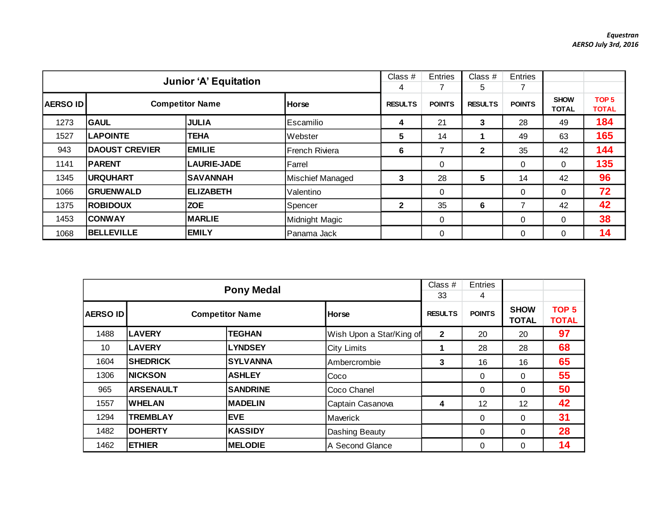|                                           |                       | <b>Junior 'A' Equitation</b> |                  | Class #             | Entries       | Class #              | Entries       |                             |                                  |
|-------------------------------------------|-----------------------|------------------------------|------------------|---------------------|---------------|----------------------|---------------|-----------------------------|----------------------------------|
| <b>Competitor Name</b><br><b>AERSO ID</b> |                       |                              | <b>Horse</b>     | 4<br><b>RESULTS</b> | <b>POINTS</b> | 5.<br><b>RESULTS</b> | <b>POINTS</b> | <b>SHOW</b><br><b>TOTAL</b> | TOP <sub>5</sub><br><b>TOTAL</b> |
| 1273                                      | <b>GAUL</b>           | <b>JULIA</b>                 | Escamilio        | 4                   | 21            | 3                    | 28            | 49                          | 184                              |
| 1527                                      | <b>LAPOINTE</b>       | <b>TEHA</b>                  | Webster          | 5                   | 14            |                      | 49            | 63                          | 165                              |
| 943                                       | <b>DAOUST CREVIER</b> | <b>EMILIE</b>                | French Riviera   | 6                   |               | $\mathbf{2}$         | 35            | 42                          | 144                              |
| 1141                                      | <b>PARENT</b>         | <b>LAURIE-JADE</b>           | Farrel           |                     | 0             |                      | 0             | $\overline{0}$              | 135                              |
| 1345                                      | <b>URQUHART</b>       | <b>SAVANNAH</b>              | Mischief Managed | 3                   | 28            | 5                    | 14            | 42                          | 96                               |
| 1066                                      | <b>GRUENWALD</b>      | <b>ELIZABETH</b>             | Valentino        |                     | 0             |                      | $\Omega$      | $\Omega$                    | 72                               |
| 1375                                      | <b>ROBIDOUX</b>       | <b>ZOE</b>                   | Spencer          | $\mathbf{2}$        | 35            | 6                    | 7             | 42                          | 42                               |
| 1453                                      | <b>CONWAY</b>         | <b>MARLIE</b>                | Midnight Magic   |                     | 0             |                      | 0             | $\Omega$                    | 38                               |
| 1068                                      | <b>BELLEVILLE</b>     | <b>EMILY</b>                 | Panama Jack      |                     | 0             |                      | $\Omega$      | $\Omega$                    | 14                               |

|                 |                  | <b>Pony Medal</b>      |                          | Class #<br>33  | <b>Entries</b><br>4 |                             |                                  |
|-----------------|------------------|------------------------|--------------------------|----------------|---------------------|-----------------------------|----------------------------------|
| <b>AERSO ID</b> |                  | <b>Competitor Name</b> | Horse                    | <b>RESULTS</b> | <b>POINTS</b>       | <b>SHOW</b><br><b>TOTAL</b> | TOP <sub>5</sub><br><b>TOTAL</b> |
| 1488            | <b>LAVERY</b>    | <b>TEGHAN</b>          | Wish Upon a Star/King of | $\mathbf{2}$   | 20                  | 20                          | 97                               |
| 10              | <b>LAVERY</b>    | <b>LYNDSEY</b>         | <b>City Limits</b>       |                | 28                  | 28                          | 68                               |
| 1604            | <b>SHEDRICK</b>  | <b>SYLVANNA</b>        | Ambercrombie             | 3              | 16                  | 16                          | 65                               |
| 1306            | <b>NICKSON</b>   | <b>ASHLEY</b>          | Coco                     |                | 0                   | 0                           | 55                               |
| 965             | <b>ARSENAULT</b> | <b>SANDRINE</b>        | Coco Chanel              |                | 0                   | 0                           | 50                               |
| 1557            | <b>WHELAN</b>    | <b>MADELIN</b>         | Captain Casanova         | 4              | 12                  | 12                          | 42                               |
| 1294            | <b>TREMBLAY</b>  | <b>EVE</b>             | Maverick                 |                | 0                   | $\Omega$                    | 31                               |
| 1482            | <b>DOHERTY</b>   | <b>KASSIDY</b>         | Dashing Beauty           |                | 0                   | $\Omega$                    | 28                               |
| 1462            | <b>ETHIER</b>    | <b>MELODIE</b>         | A Second Glance          |                | 0                   | 0                           | 14                               |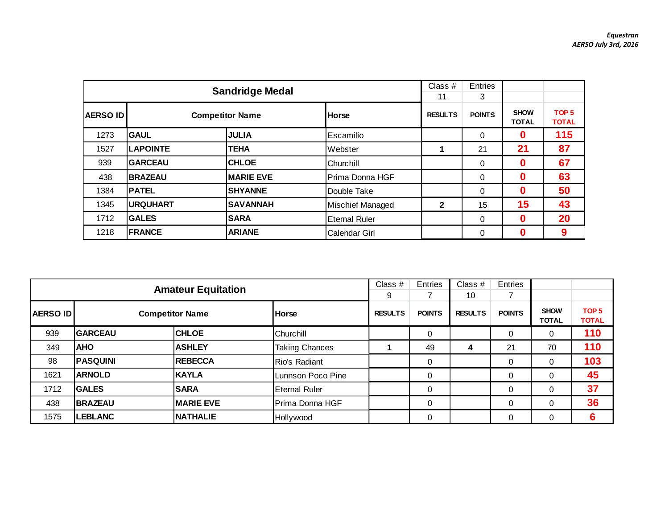|                 |                 | <b>Sandridge Medal</b> |                         | Class #<br>11  | Entries<br>3  |                             |                                  |
|-----------------|-----------------|------------------------|-------------------------|----------------|---------------|-----------------------------|----------------------------------|
| <b>AERSO ID</b> |                 | <b>Competitor Name</b> | Horse                   | <b>RESULTS</b> | <b>POINTS</b> | <b>SHOW</b><br><b>TOTAL</b> | TOP <sub>5</sub><br><b>TOTAL</b> |
| 1273            | <b>GAUL</b>     | <b>JULIA</b>           | Escamilio               |                | $\Omega$      | $\mathbf{0}$                | 115                              |
| 1527            | <b>LAPOINTE</b> | <b>TEHA</b>            | Webster                 |                | 21            | 21                          | 87                               |
| 939             | <b>GARCEAU</b>  | <b>CHLOE</b>           | Churchill               |                | $\mathbf 0$   | 0                           | 67                               |
| 438             | <b>BRAZEAU</b>  | <b>MARIE EVE</b>       | IPrima Donna HGF        |                | $\Omega$      | 0                           | 63                               |
| 1384            | <b>PATEL</b>    | <b>SHYANNE</b>         | Double Take             |                | $\Omega$      | 0                           | 50                               |
| 1345            | <b>URQUHART</b> | <b>SAVANNAH</b>        | <b>Mischief Managed</b> | $\mathbf{2}$   | 15            | 15                          | 43                               |
| 1712            | <b>GALES</b>    | <b>SARA</b>            | <b>Eternal Ruler</b>    |                | $\mathbf 0$   | 0                           | 20                               |
| 1218            | <b>FRANCE</b>   | <b>ARIANE</b>          | <b>Calendar Girl</b>    |                | $\Omega$      | 0                           | 9                                |

|                 | <b>Amateur Equitation</b> |                        |                       | Class $#$      | Entries       | Class $#$      | Entries       |                             |                                  |
|-----------------|---------------------------|------------------------|-----------------------|----------------|---------------|----------------|---------------|-----------------------------|----------------------------------|
|                 |                           |                        |                       |                |               | 10             |               |                             |                                  |
| <b>AERSO ID</b> |                           | <b>Competitor Name</b> | <b>Horse</b>          | <b>RESULTS</b> | <b>POINTS</b> | <b>RESULTS</b> | <b>POINTS</b> | <b>SHOW</b><br><b>TOTAL</b> | TOP <sub>5</sub><br><b>TOTAL</b> |
| 939             | <b>GARCEAU</b>            | <b>CHLOE</b>           | Churchill             |                | 0             |                | 0             |                             | 110                              |
| 349             | <b>AHO</b>                | <b>ASHLEY</b>          | <b>Taking Chances</b> |                | 49            | 4              | 21            | 70                          | 110                              |
| 98              | <b>PASQUINI</b>           | <b>REBECCA</b>         | Rio's Radiant         |                | 0             |                | 0             |                             | 103                              |
| 1621            | <b>ARNOLD</b>             | <b>KAYLA</b>           | Lunnson Poco Pine     |                | 0             |                | $\mathbf 0$   |                             | 45                               |
| 1712            | <b>GALES</b>              | <b>SARA</b>            | <b>Eternal Ruler</b>  |                | 0             |                | 0             |                             | 37                               |
| 438             | <b>BRAZEAU</b>            | <b>MARIE EVE</b>       | Prima Donna HGF       |                | 0             |                | $\mathbf 0$   |                             | 36                               |
| 1575            | LEBLANC                   | <b>NATHALIE</b>        | Hollywood             |                | 0             |                | 0             |                             | 6                                |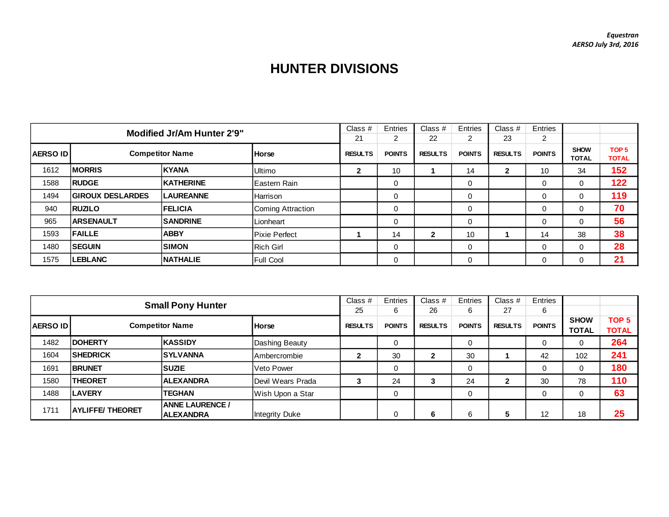## **HUNTER DIVISIONS**

| <b>Modified Jr/Am Hunter 2'9"</b> |                         |                        | Class $#$            | Entries        | Class $#$     | Entries        | Class #       | Entries        |               |                             |                                  |
|-----------------------------------|-------------------------|------------------------|----------------------|----------------|---------------|----------------|---------------|----------------|---------------|-----------------------------|----------------------------------|
|                                   |                         |                        |                      | 21             | 2             | 22             | 2             | 23             | 2             |                             |                                  |
| <b>AERSO IDI</b>                  |                         | <b>Competitor Name</b> | <b>Horse</b>         | <b>RESULTS</b> | <b>POINTS</b> | <b>RESULTS</b> | <b>POINTS</b> | <b>RESULTS</b> | <b>POINTS</b> | <b>SHOW</b><br><b>TOTAL</b> | TOP <sub>5</sub><br><b>TOTAL</b> |
| 1612                              | <b>MORRIS</b>           | <b>KYANA</b>           | <b>Ultimo</b>        | 2              | 10            |                | 14            | 2              | 10            | 34                          | 152                              |
| 1588                              | <b>RUDGE</b>            | <b>KATHERINE</b>       | <b>IEastern Rain</b> |                | 0             |                | 0             |                | $\Omega$      | $\Omega$                    | 122                              |
| 1494                              | <b>GIROUX DESLARDES</b> | <b>LAUREANNE</b>       | <b>Harrison</b>      |                | 0             |                | 0             |                | 0             | 0                           | 119                              |
| 940                               | <b>RUZILO</b>           | <b>IFELICIA</b>        | Coming Attraction    |                | 0             |                | 0             |                | 0             | 0                           | 70                               |
| 965                               | <b>ARSENAULT</b>        | <b>SANDRINE</b>        | Lionheart            |                | 0             |                | $\Omega$      |                | 0             | $\Omega$                    | 56                               |
| 1593                              | <b>FAILLE</b>           | <b>ABBY</b>            | <b>Pixie Perfect</b> |                | 14            | $\mathbf{2}$   | 10            |                | 14            | 38                          | 38                               |
| 1480                              | <b>SEGUIN</b>           | <b>SIMON</b>           | <b>Rich Girl</b>     |                | 0             |                | 0             |                | 0             | $\Omega$                    | 28                               |
| 1575                              | <b>LEBLANC</b>          | <b>NATHALIE</b>        | <b>Full Cool</b>     |                | 0             |                | $\Omega$      |                | 0             | 0                           | 21                               |

| <b>Small Pony Hunter</b> |                         |                                            | Class $#$         | Entries        | Class $#$     | Entries        | Class $#$     | Entries        |               |                             |                                  |
|--------------------------|-------------------------|--------------------------------------------|-------------------|----------------|---------------|----------------|---------------|----------------|---------------|-----------------------------|----------------------------------|
|                          |                         |                                            |                   | 25             | 6             | 26             | 6             | 27             | 6             |                             |                                  |
| <b>AERSO IDI</b>         |                         | <b>Competitor Name</b>                     | <b>Horse</b>      | <b>RESULTS</b> | <b>POINTS</b> | <b>RESULTS</b> | <b>POINTS</b> | <b>RESULTS</b> | <b>POINTS</b> | <b>SHOW</b><br><b>TOTAL</b> | TOP <sub>5</sub><br><b>TOTAL</b> |
| 1482                     | <b>DOHERTY</b>          | <b>KASSIDY</b>                             | Dashing Beauty    |                | 0             |                | 0             |                | 0             | 0                           | 264                              |
| 1604                     | <b>SHEDRICK</b>         | <b>ISYLVANNA</b>                           | Ambercrombie      | 2              | 30            | $\mathbf{2}$   | 30            |                | 42            | 102                         | 241                              |
| 1691                     | <b>BRUNET</b>           | <b>SUZIE</b>                               | Veto Power        |                | 0             |                | 0             |                | $\Omega$      | 0                           | 180                              |
| 1580                     | <b>THEORET</b>          | <b>ALEXANDRA</b>                           | Devil Wears Prada |                | 24            | ◠              | 24            | $\mathbf 2$    | 30            | 78                          | 110                              |
| 1488                     | <b>LAVERY</b>           | <b>TEGHAN</b>                              | Wish Upon a Star  |                | 0             |                |               |                | 0             | 0                           | 63                               |
| 1711                     | <b>AYLIFFE/ THEORET</b> | <b>ANNE LAURENCE /</b><br><b>ALEXANDRA</b> | Integrity Duke    |                | 0             | 6              | 6             | 5              | 12            | 18                          | 25                               |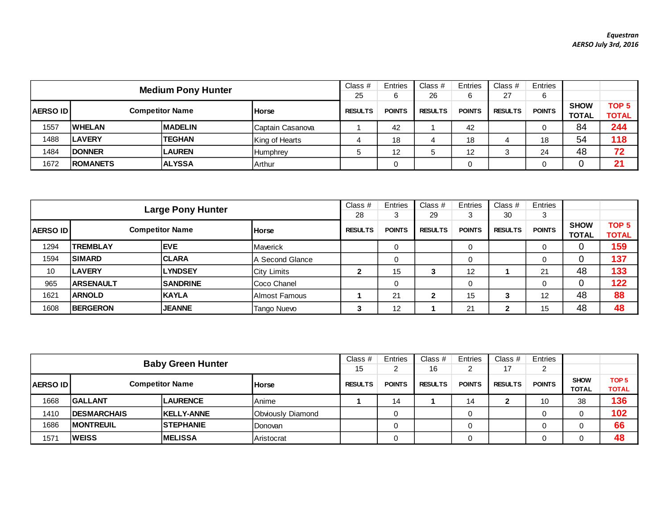|                                                             | <b>Medium Pony Hunter</b> |                |                  |                |               | Class $#$      | Entries       | Class $#$      | Entries       |                             |                                  |
|-------------------------------------------------------------|---------------------------|----------------|------------------|----------------|---------------|----------------|---------------|----------------|---------------|-----------------------------|----------------------------------|
|                                                             |                           |                |                  |                | 6             | 26             | 6             | 27             | 6             |                             |                                  |
| <b>AERSO ID</b><br><b>Competitor Name</b><br><b>I</b> Horse |                           |                |                  | <b>RESULTS</b> | <b>POINTS</b> | <b>RESULTS</b> | <b>POINTS</b> | <b>RESULTS</b> | <b>POINTS</b> | <b>SHOW</b><br><b>TOTAL</b> | TOP <sub>5</sub><br><b>TOTAL</b> |
| 1557                                                        | <b>WHELAN</b>             | <b>MADELIN</b> | Captain Casanova |                | 42            |                | 42            |                |               | 84                          | 244                              |
| 1488                                                        | <b>LAVERY</b>             | <b>TEGHAN</b>  | King of Hearts   |                | 18            | 4              | 18            |                | 18            | 54                          | 118                              |
| 1484                                                        | <b>DONNER</b>             | <b>LAUREN</b>  | Humphrey         |                | 12            | 5              | 12            | 3              | 24            | 48                          | 72                               |
| 1672                                                        | <b>ROMANETS</b>           | <b>ALYSSA</b>  | Arthur           |                |               |                |               |                |               |                             | 21                               |

| <b>Large Pony Hunter</b> |                  |                        |                    | Class $#$      | Entries       | Class $#$      | Entries       | Class $#$      | Entries       |                             |                                  |
|--------------------------|------------------|------------------------|--------------------|----------------|---------------|----------------|---------------|----------------|---------------|-----------------------------|----------------------------------|
|                          |                  |                        |                    | 28             |               | 29             | 3             | 30             | 3             |                             |                                  |
| <b>AERSO IDI</b>         |                  | <b>Competitor Name</b> | <b>Horse</b>       | <b>RESULTS</b> | <b>POINTS</b> | <b>RESULTS</b> | <b>POINTS</b> | <b>RESULTS</b> | <b>POINTS</b> | <b>SHOW</b><br><b>TOTAL</b> | TOP <sub>5</sub><br><b>TOTAL</b> |
| 1294                     | <b>TREMBLAY</b>  | <b>IEVE</b>            | Maverick           |                | 0             |                | 0             |                |               | 0                           | 159                              |
| 1594                     | <b>SIMARD</b>    | <b>CLARA</b>           | IA Second Glance   |                | 0             |                | 0             |                | 0             | 0                           | 137                              |
| 10                       | <b>LAVERY</b>    | <b>LYNDSEY</b>         | City Limits        | າ<br>◢         | 15            | ≏              | 12            |                | 21            | 48                          | 133                              |
| 965                      | <b>ARSENAULT</b> | <b>SANDRINE</b>        | <b>Coco Chanel</b> |                | 0             |                | 0             |                | 0             | 0                           | 122                              |
| 1621                     | <b>ARNOLD</b>    | <b>KAYLA</b>           | Almost Famous      |                | 21            | 2              | 15            | 3              | 12            | 48                          | 88                               |
| 1608                     | <b>BERGERON</b>  | <b>JEANNE</b>          | Tango Nuevo        | ິ<br>P         | 12            |                | 21            | 2              | 15            | 48                          | 48                               |

| <b>Baby Green Hunter</b> |                     |                        |                   | Class $#$<br>15 | Entries       | Class $#$<br>16 | Entries<br>ົ  | Class $#$<br>17 | Entries       |                             |                                  |
|--------------------------|---------------------|------------------------|-------------------|-----------------|---------------|-----------------|---------------|-----------------|---------------|-----------------------------|----------------------------------|
| <b>AERSO ID</b>          |                     | <b>Competitor Name</b> | <b>Horse</b>      | <b>RESULTS</b>  | <b>POINTS</b> | <b>RESULTS</b>  | <b>POINTS</b> | <b>RESULTS</b>  | <b>POINTS</b> | <b>SHOW</b><br><b>TOTAL</b> | TOP <sub>5</sub><br><b>TOTAL</b> |
| 1668                     | <b>GALLANT</b>      | <b>ILAURENCE</b>       | Anime             |                 | 14            |                 | 14            | 2               | 10            | 38                          | 136                              |
| 1410                     | <b>IDESMARCHAIS</b> | <b>KELLY-ANNE</b>      | Obviously Diamond |                 |               |                 |               |                 |               |                             | 102                              |
| 1686                     | <b>IMONTREUIL</b>   | <b>ISTEPHANIE</b>      | Donovan           |                 |               |                 |               |                 |               |                             | 66                               |
| 1571                     | <b>WEISS</b>        | <b>IMELISSA</b>        | Aristocrat        |                 |               |                 |               |                 |               |                             | 48                               |